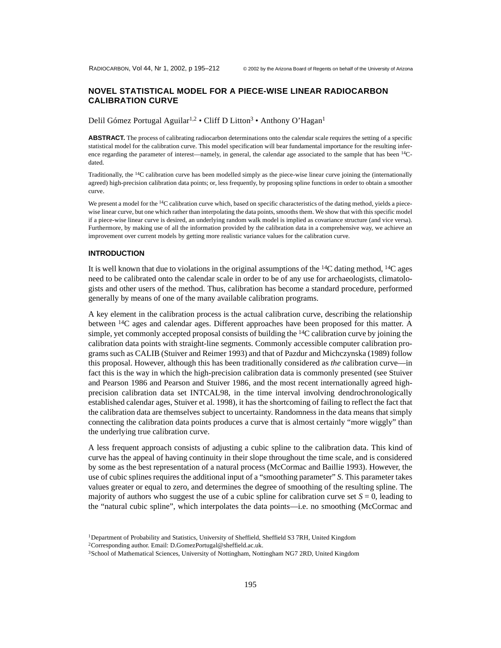# **NOVEL STATISTICAL MODEL FOR A PIECE-WISE LINEAR RADIOCARBON CALIBRATION CURVE**

Delil Gómez Portugal Aguilar<sup>1,2</sup> • Cliff D Litton<sup>3</sup> • Anthony O'Hagan<sup>1</sup>

**ABSTRACT.** The process of calibrating radiocarbon determinations onto the calendar scale requires the setting of a specific statistical model for the calibration curve. This model specification will bear fundamental importance for the resulting inference regarding the parameter of interest—namely, in general, the calendar age associated to the sample that has been <sup>14</sup>Cdated.

Traditionally, the <sup>14</sup>C calibration curve has been modelled simply as the piece-wise linear curve joining the (internationally agreed) high-precision calibration data points; or, less frequently, by proposing spline functions in order to obtain a smoother curve.

We present a model for the <sup>14</sup>C calibration curve which, based on specific characteristics of the dating method, yields a piecewise linear curve, but one which rather than interpolating the data points, smooths them. We show that with this specific model if a piece-wise linear curve is desired, an underlying random walk model is implied as covariance structure (and vice versa). Furthermore, by making use of all the information provided by the calibration data in a comprehensive way, we achieve an improvement over current models by getting more realistic variance values for the calibration curve.

#### **INTRODUCTION**

It is well known that due to violations in the original assumptions of the  $^{14}C$  dating method,  $^{14}C$  ages need to be calibrated onto the calendar scale in order to be of any use for archaeologists, climatologists and other users of the method. Thus, calibration has become a standard procedure, performed generally by means of one of the many available calibration programs.

A key element in the calibration process is the actual calibration curve, describing the relationship between <sup>14</sup>C ages and calendar ages. Different approaches have been proposed for this matter. A simple, yet commonly accepted proposal consists of building the  $\rm{^{14}C}$  calibration curve by joining the calibration data points with straight-line segments. Commonly accessible computer calibration programs such as CALIB (Stuiver and Reimer 1993) and that of Pazdur and Michczynska (1989) follow this proposal. However, although this has been traditionally considered as *the* calibration curve—in fact this is the way in which the high-precision calibration data is commonly presented (see Stuiver and Pearson 1986 and Pearson and Stuiver 1986, and the most recent internationally agreed highprecision calibration data set INTCAL98, in the time interval involving dendrochronologically established calendar ages, Stuiver et al. 1998), it has the shortcoming of failing to reflect the fact that the calibration data are themselves subject to uncertainty. Randomness in the data means that simply connecting the calibration data points produces a curve that is almost certainly "more wiggly" than the underlying true calibration curve.

A less frequent approach consists of adjusting a cubic spline to the calibration data. This kind of curve has the appeal of having continuity in their slope throughout the time scale, and is considered by some as the best representation of a natural process (McCormac and Baillie 1993). However, the use of cubic splines requires the additional input of a "smoothing parameter" *S*. This parameter takes values greater or equal to zero, and determines the degree of smoothing of the resulting spline. The majority of authors who suggest the use of a cubic spline for calibration curve set  $S = 0$ , leading to the "natural cubic spline", which interpolates the data points—i.e. no smoothing (McCormac and

<sup>1</sup>Department of Probability and Statistics, University of Sheffield, Sheffield S3 7RH, United Kingdom

<sup>2</sup>Corresponding author. Email: D.GomezPortugal@sheffield.ac.uk.

<sup>&</sup>lt;sup>3</sup>School of Mathematical Sciences, University of Nottingham, Nottingham NG7 2RD, United Kingdom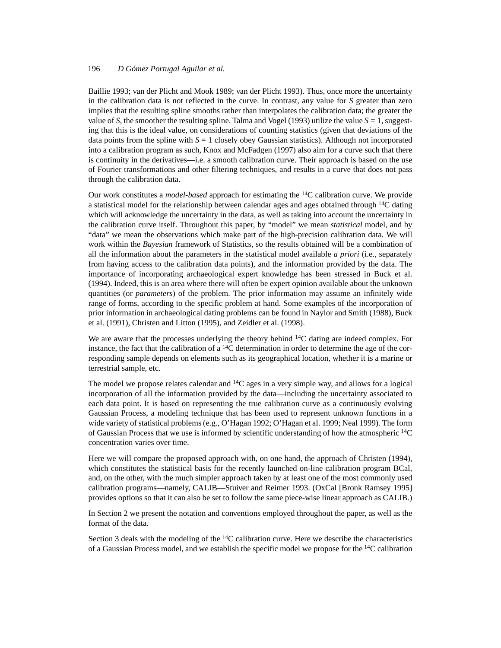Baillie 1993; van der Plicht and Mook 1989; van der Plicht 1993). Thus, once more the uncertainty in the calibration data is not reflected in the curve. In contrast, any value for *S* greater than zero implies that the resulting spline smooths rather than interpolates the calibration data; the greater the value of *S*, the smoother the resulting spline. Talma and Vogel (1993) utilize the value  $S = 1$ , suggesting that this is the ideal value, on considerations of counting statistics (given that deviations of the data points from the spline with  $S = 1$  closely obey Gaussian statistics). Although not incorporated into a calibration program as such, Knox and McFadgen (1997) also aim for a curve such that there is continuity in the derivatives—i.e. a smooth calibration curve. Their approach is based on the use of Fourier transformations and other filtering techniques, and results in a curve that does not pass through the calibration data.

Our work constitutes a *model-based* approach for estimating the 14C calibration curve. We provide a statistical model for the relationship between calendar ages and ages obtained through  $\frac{14C}{ }$  dating which will acknowledge the uncertainty in the data, as well as taking into account the uncertainty in the calibration curve itself. Throughout this paper, by "model" we mean *statistical* model, and by "data" we mean the observations which make part of the high-precision calibration data. We will work within the *Bayesian* framework of Statistics, so the results obtained will be a combination of all the information about the parameters in the statistical model available *a priori* (i.e., separately from having access to the calibration data points), and the information provided by the data. The importance of incorporating archaeological expert knowledge has been stressed in Buck et al. (1994). Indeed, this is an area where there will often be expert opinion available about the unknown quantities (or *parameters*) of the problem. The prior information may assume an infinitely wide range of forms, according to the specific problem at hand. Some examples of the incorporation of prior information in archaeological dating problems can be found in Naylor and Smith (1988), Buck et al. (1991), Christen and Litton (1995), and Zeidler et al. (1998).

We are aware that the processes underlying the theory behind <sup>14</sup>C dating are indeed complex. For instance, the fact that the calibration of a  $^{14}C$  determination in order to determine the age of the corresponding sample depends on elements such as its geographical location, whether it is a marine or terrestrial sample, etc.

The model we propose relates calendar and  ${}^{14}C$  ages in a very simple way, and allows for a logical incorporation of all the information provided by the data—including the uncertainty associated to each data point. It is based on representing the true calibration curve as a continuously evolving Gaussian Process, a modeling technique that has been used to represent unknown functions in a wide variety of statistical problems (e.g., O'Hagan 1992; O'Hagan et al. 1999; Neal 1999). The form of Gaussian Process that we use is informed by scientific understanding of how the atmospheric  ${}^{14}C$ concentration varies over time.

Here we will compare the proposed approach with, on one hand, the approach of Christen (1994), which constitutes the statistical basis for the recently launched on-line calibration program BCal, and, on the other, with the much simpler approach taken by at least one of the most commonly used calibration programs—namely, CALIB—Stuiver and Reimer 1993. (OxCal [Bronk Ramsey 1995] provides options so that it can also be set to follow the same piece-wise linear approach as CALIB.)

In Section 2 we present the notation and conventions employed throughout the paper, as well as the format of the data.

Section 3 deals with the modeling of the  $14C$  calibration curve. Here we describe the characteristics of a Gaussian Process model, and we establish the specific model we propose for the 14C calibration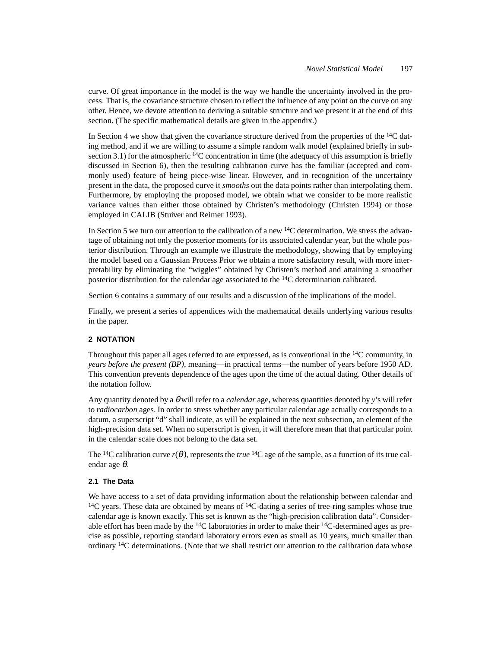curve. Of great importance in the model is the way we handle the uncertainty involved in the process. That is, the covariance structure chosen to reflect the influence of any point on the curve on any other. Hence, we devote attention to deriving a suitable structure and we present it at the end of this section. (The specific mathematical details are given in the appendix.)

In Section 4 we show that given the covariance structure derived from the properties of the  $^{14}C$  dating method, and if we are willing to assume a simple random walk model (explained briefly in subsection 3.1) for the atmospheric  $14C$  concentration in time (the adequacy of this assumption is briefly discussed in Section 6), then the resulting calibration curve has the familiar (accepted and commonly used) feature of being piece-wise linear. However, and in recognition of the uncertainty present in the data, the proposed curve it *smooths* out the data points rather than interpolating them. Furthermore, by employing the proposed model, we obtain what we consider to be more realistic variance values than either those obtained by Christen's methodology (Christen 1994) or those employed in CALIB (Stuiver and Reimer 1993).

In Section 5 we turn our attention to the calibration of a new  $14C$  determination. We stress the advantage of obtaining not only the posterior moments for its associated calendar year, but the whole posterior distribution. Through an example we illustrate the methodology, showing that by employing the model based on a Gaussian Process Prior we obtain a more satisfactory result, with more interpretability by eliminating the "wiggles" obtained by Christen's method and attaining a smoother posterior distribution for the calendar age associated to the <sup>14</sup>C determination calibrated.

Section 6 contains a summary of our results and a discussion of the implications of the model.

Finally, we present a series of appendices with the mathematical details underlying various results in the paper.

## **2 NOTATION**

Throughout this paper all ages referred to are expressed, as is conventional in the 14C community, in *years before the present (BP)*, meaning—in practical terms—the number of years before 1950 AD. This convention prevents dependence of the ages upon the time of the actual dating. Other details of the notation follow.

Any quantity denoted by a θ will refer to a *calendar* age, whereas quantities denoted by *y*'s will refer to *radiocarbon* ages. In order to stress whether any particular calendar age actually corresponds to a datum, a superscript "d" shall indicate, as will be explained in the next subsection, an element of the high-precision data set. When no superscript is given, it will therefore mean that that particular point in the calendar scale does not belong to the data set.

The <sup>14</sup>C calibration curve  $r(\theta)$ , represents the *true* <sup>14</sup>C age of the sample, as a function of its true calendar age θ.

## **2.1 The Data**

We have access to a set of data providing information about the relationship between calendar and  $14C$  years. These data are obtained by means of  $14C$ -dating a series of tree-ring samples whose true calendar age is known exactly. This set is known as the "high-precision calibration data". Considerable effort has been made by the  $^{14}C$  laboratories in order to make their  $^{14}C$ -determined ages as precise as possible, reporting standard laboratory errors even as small as 10 years, much smaller than ordinary 14C determinations. (Note that we shall restrict our attention to the calibration data whose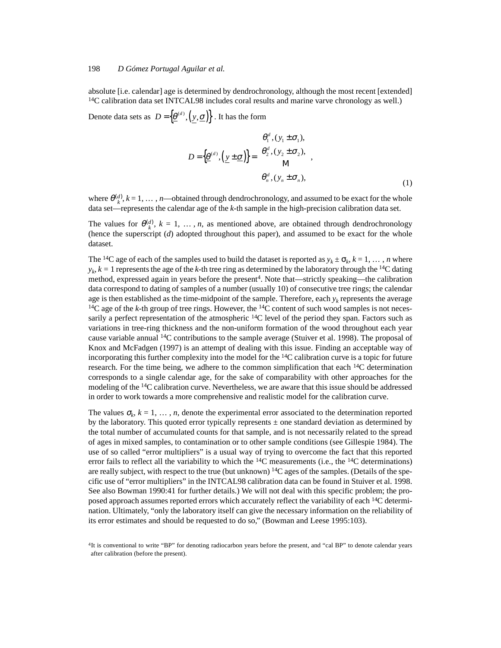absolute [i.e. calendar] age is determined by dendrochronology, although the most recent [extended]  $^{14}$ C calibration data set INTCAL98 includes coral results and marine varve chronology as well.)

Denote data sets as  $D = \{ \underline{\theta}^{(d)}, (\underline{y}, \underline{\sigma}) \}$ . It has the form

$$
D = \left\{ \underline{\theta}^{(d)}, \left( \underline{y} \pm \underline{\sigma} \right) \right\} = \begin{cases} \theta_1^d, (y_1 \pm \sigma_1), \\ \theta_2^d, (y_2 \pm \sigma_2), \\ \mathbf{M} \\ \theta_n^d, (y_n \pm \sigma_n), \end{cases},
$$
(1)

where  $\theta_k^{(d)}$ ,  $k = 1, ..., n$ —obtained through dendrochronology, and assumed to be exact for the whole data set—represents the calendar age of the *k*-th sample in the high-precision calibration data set.

The values for  $\theta_k^{(d)}$ ,  $k = 1, \ldots, n$ , as mentioned above, are obtained through dendrochronology (hence the superscript (*d*) adopted throughout this paper), and assumed to be exact for the whole dataset.

The <sup>14</sup>C age of each of the samples used to build the dataset is reported as  $y_k \pm \sigma_k$ ,  $k = 1, \dots, n$  where  $y_k$ ,  $k = 1$  represents the age of the *k*-th tree ring as determined by the laboratory through the <sup>14</sup>C dating method, expressed again in years before the present<sup>4</sup>. Note that—strictly speaking—the calibration data correspond to dating of samples of a number (usually 10) of consecutive tree rings; the calendar age is then established as the time-midpoint of the sample. Therefore, each  $y_k$  represents the average <sup>14</sup>C age of the *k*-th group of tree rings. However, the <sup>14</sup>C content of such wood samples is not necessarily a perfect representation of the atmospheric  $^{14}C$  level of the period they span. Factors such as variations in tree-ring thickness and the non-uniform formation of the wood throughout each year cause variable annual 14C contributions to the sample average (Stuiver et al. 1998). The proposal of Knox and McFadgen (1997) is an attempt of dealing with this issue. Finding an acceptable way of incorporating this further complexity into the model for the  ${}^{14}C$  calibration curve is a topic for future research. For the time being, we adhere to the common simplification that each  $14C$  determination corresponds to a single calendar age, for the sake of comparability with other approaches for the modeling of the <sup>14</sup>C calibration curve. Nevertheless, we are aware that this issue should be addressed in order to work towards a more comprehensive and realistic model for the calibration curve.

The values  $\sigma_k$ ,  $k = 1, \ldots, n$ , denote the experimental error associated to the determination reported by the laboratory. This quoted error typically represents  $\pm$  one standard deviation as determined by the total number of accumulated counts for that sample, and is not necessarily related to the spread of ages in mixed samples, to contamination or to other sample conditions (see Gillespie 1984). The use of so called "error multipliers" is a usual way of trying to overcome the fact that this reported error fails to reflect all the variability to which the  $^{14}C$  measurements (i.e., the  $^{14}C$  determinations) are really subject, with respect to the true (but unknown)  $^{14}C$  ages of the samples. (Details of the specific use of "error multipliers" in the INTCAL98 calibration data can be found in Stuiver et al. 1998. See also Bowman 1990:41 for further details.) We will not deal with this specific problem; the proposed approach assumes reported errors which accurately reflect the variability of each <sup>14</sup>C determination. Ultimately, "only the laboratory itself can give the necessary information on the reliability of its error estimates and should be requested to do so," (Bowman and Leese 1995:103).

<sup>4</sup>It is conventional to write "BP" for denoting radiocarbon years before the present, and "cal BP" to denote calendar years after calibration (before the present).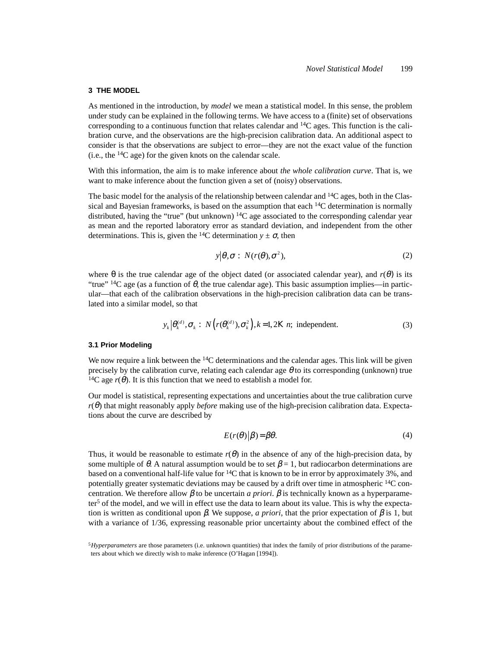### **3 THE MODEL**

As mentioned in the introduction, by *model* we mean a statistical model. In this sense, the problem under study can be explained in the following terms. We have access to a (finite) set of observations corresponding to a continuous function that relates calendar and  $14C$  ages. This function is the calibration curve, and the observations are the high-precision calibration data. An additional aspect to consider is that the observations are subject to error—they are not the exact value of the function (i.e., the  $^{14}C$  age) for the given knots on the calendar scale.

With this information, the aim is to make inference about *the whole calibration curve*. That is, we want to make inference about the function given a set of (noisy) observations.

The basic model for the analysis of the relationship between calendar and  $14C$  ages, both in the Classical and Bayesian frameworks, is based on the assumption that each  $^{14}C$  determination is normally distributed, having the "true" (but unknown)  ${}^{14}C$  age associated to the corresponding calendar year as mean and the reported laboratory error as standard deviation, and independent from the other determinations. This is, given the <sup>14</sup>C determination  $y \pm \sigma$ , then

$$
y|\theta, \sigma: N(r(\theta), \sigma^2), \tag{2}
$$

where  $\theta$  is the true calendar age of the object dated (or associated calendar year), and  $r(\theta)$  is its "true" <sup>14</sup>C age (as a function of  $\theta$ , the true calendar age). This basic assumption implies—in particular—that each of the calibration observations in the high-precision calibration data can be translated into a similar model, so that

$$
y_k | \theta_k^{(d)}, \sigma_k : N(r(\theta_k^{(d)}), \sigma_k^2), k=1, 2K n; \text{ independent.}
$$
 (3)

#### **3.1 Prior Modeling**

We now require a link between the  $14C$  determinations and the calendar ages. This link will be given precisely by the calibration curve, relating each calendar age  $\theta$  to its corresponding (unknown) true <sup>14</sup>C age  $r(\theta)$ . It is this function that we need to establish a model for.

Our model is statistical, representing expectations and uncertainties about the true calibration curve *r*(θ) that might reasonably apply *before* making use of the high-precision calibration data. Expectations about the curve are described by

$$
E(r(\theta)|\beta) = \beta \theta. \tag{4}
$$

Thus, it would be reasonable to estimate  $r(\theta)$  in the absence of any of the high-precision data, by some multiple of  $\theta$ . A natural assumption would be to set  $\beta = 1$ , but radiocarbon determinations are based on a conventional half-life value for  ${}^{14}C$  that is known to be in error by approximately 3%, and potentially greater systematic deviations may be caused by a drift over time in atmospheric  $^{14}$ C concentration. We therefore allow  $\beta$  to be uncertain *a priori*.  $\beta$  is technically known as a hyperparameter<sup>5</sup> of the model, and we will in effect use the data to learn about its value. This is why the expectation is written as conditional upon  $\beta$ . We suppose, *a priori*, that the prior expectation of  $\beta$  is 1, but with a variance of 1/36, expressing reasonable prior uncertainty about the combined effect of the

<sup>5</sup>*Hyperparameters* are those parameters (i.e. unknown quantities) that index the family of prior distributions of the parameters about which we directly wish to make inference (O'Hagan [1994]).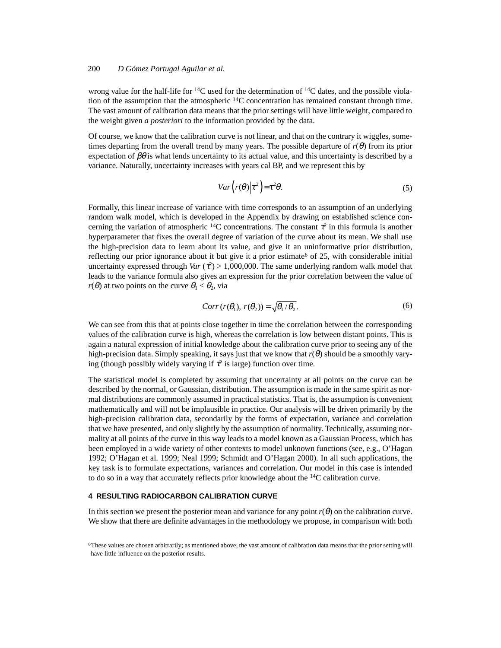wrong value for the half-life for  $14C$  used for the determination of  $14C$  dates, and the possible violation of the assumption that the atmospheric  ${}^{14}C$  concentration has remained constant through time. The vast amount of calibration data means that the prior settings will have little weight, compared to the weight given *a posteriori* to the information provided by the data.

Of course, we know that the calibration curve is not linear, and that on the contrary it wiggles, sometimes departing from the overall trend by many years. The possible departure of  $r(\theta)$  from its prior expectation of  $\beta\theta$  is what lends uncertainty to its actual value, and this uncertainty is described by a variance. Naturally, uncertainty increases with years cal BP, and we represent this by

$$
Var(r(\theta)|\tau^2) = \tau^2 \theta.
$$
\n(5)

Formally, this linear increase of variance with time corresponds to an assumption of an underlying random walk model, which is developed in the Appendix by drawing on established science concerning the variation of atmospheric <sup>14</sup>C concentrations. The constant  $\tau^2$  in this formula is another hyperparameter that fixes the overall degree of variation of the curve about its mean. We shall use the high-precision data to learn about its value, and give it an uninformative prior distribution, reflecting our prior ignorance about it but give it a prior estimate<sup>6</sup> of 25, with considerable initial uncertainty expressed through *Var*  $(\tau^2) > 1,000,000$ . The same underlying random walk model that leads to the variance formula also gives an expression for the prior correlation between the value of  $r(\theta)$  at two points on the curve  $\theta_1 < \theta_2$ , via

$$
Corr(r(\theta_1), r(\theta_2)) = \sqrt{\theta_1/\theta_2}.
$$
 (6)

We can see from this that at points close together in time the correlation between the corresponding values of the calibration curve is high, whereas the correlation is low between distant points. This is again a natural expression of initial knowledge about the calibration curve prior to seeing any of the high-precision data. Simply speaking, it says just that we know that  $r(\theta)$  should be a smoothly varying (though possibly widely varying if  $\tau^2$  is large) function over time.

The statistical model is completed by assuming that uncertainty at all points on the curve can be described by the normal, or Gaussian, distribution. The assumption is made in the same spirit as normal distributions are commonly assumed in practical statistics. That is, the assumption is convenient mathematically and will not be implausible in practice. Our analysis will be driven primarily by the high-precision calibration data, secondarily by the forms of expectation, variance and correlation that we have presented, and only slightly by the assumption of normality. Technically, assuming normality at all points of the curve in this way leads to a model known as a Gaussian Process, which has been employed in a wide variety of other contexts to model unknown functions (see, e.g., O'Hagan 1992; O'Hagan et al. 1999; Neal 1999; Schmidt and O'Hagan 2000). In all such applications, the key task is to formulate expectations, variances and correlation. Our model in this case is intended to do so in a way that accurately reflects prior knowledge about the  $^{14}C$  calibration curve.

## **4 RESULTING RADIOCARBON CALIBRATION CURVE**

In this section we present the posterior mean and variance for any point  $r(\theta)$  on the calibration curve. We show that there are definite advantages in the methodology we propose, in comparison with both

<sup>6</sup>These values are chosen arbitrarily; as mentioned above, the vast amount of calibration data means that the prior setting will have little influence on the posterior results.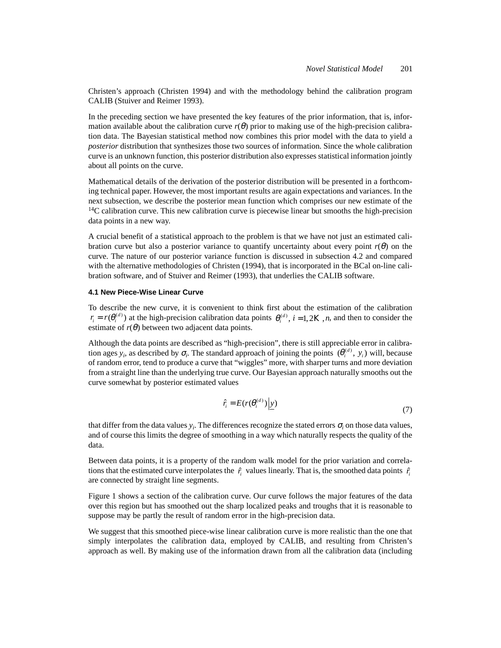Christen's approach (Christen 1994) and with the methodology behind the calibration program CALIB (Stuiver and Reimer 1993).

In the preceding section we have presented the key features of the prior information, that is, information available about the calibration curve  $r(\theta)$  prior to making use of the high-precision calibration data. The Bayesian statistical method now combines this prior model with the data to yield a *posterior* distribution that synthesizes those two sources of information. Since the whole calibration curve is an unknown function, this posterior distribution also expresses statistical information jointly about all points on the curve.

Mathematical details of the derivation of the posterior distribution will be presented in a forthcoming technical paper. However, the most important results are again expectations and variances. In the next subsection, we describe the posterior mean function which comprises our new estimate of the  $14C$  calibration curve. This new calibration curve is piecewise linear but smooths the high-precision data points in a new way.

A crucial benefit of a statistical approach to the problem is that we have not just an estimated calibration curve but also a posterior variance to quantify uncertainty about every point  $r(\theta)$  on the curve. The nature of our posterior variance function is discussed in subsection 4.2 and compared with the alternative methodologies of Christen (1994), that is incorporated in the BCal on-line calibration software, and of Stuiver and Reimer (1993), that underlies the CALIB software.

#### **4.1 New Piece-Wise Linear Curve**

To describe the new curve, it is convenient to think first about the estimation of the calibration  $r_i = r(\theta_i^{(d)})$  at the high-precision calibration data points  $\theta_i^{(d)}$ ,  $i = 1, 2K$ , *n*, and then to consider the estimate of  $r(\theta)$  between two adjacent data points.

Although the data points are described as "high-precision", there is still appreciable error in calibration ages  $y_i$ , as described by  $\sigma_i$ . The standard approach of joining the points  $(\theta_i^{(d)}, y_i)$  will, because of random error, tend to produce a curve that "wiggles" more, with sharper turns and more deviation from a straight line than the underlying true curve. Our Bayesian approach naturally smooths out the curve somewhat by posterior estimated values

$$
\hat{r}_i = E(r(\theta_i^{(d)}) \mid \underline{y}) \tag{7}
$$

that differ from the data values  $y_i$ . The differences recognize the stated errors  $\sigma_i$  on those data values, and of course this limits the degree of smoothing in a way which naturally respects the quality of the data.

Between data points, it is a property of the random walk model for the prior variation and correlations that the estimated curve interpolates the  $\hat{r}_i$  values linearly. That is, the smoothed data points  $\hat{r}_i$ are connected by straight line segments.

Figure 1 shows a section of the calibration curve. Our curve follows the major features of the data over this region but has smoothed out the sharp localized peaks and troughs that it is reasonable to suppose may be partly the result of random error in the high-precision data.

We suggest that this smoothed piece-wise linear calibration curve is more realistic than the one that simply interpolates the calibration data, employed by CALIB, and resulting from Christen's approach as well. By making use of the information drawn from all the calibration data (including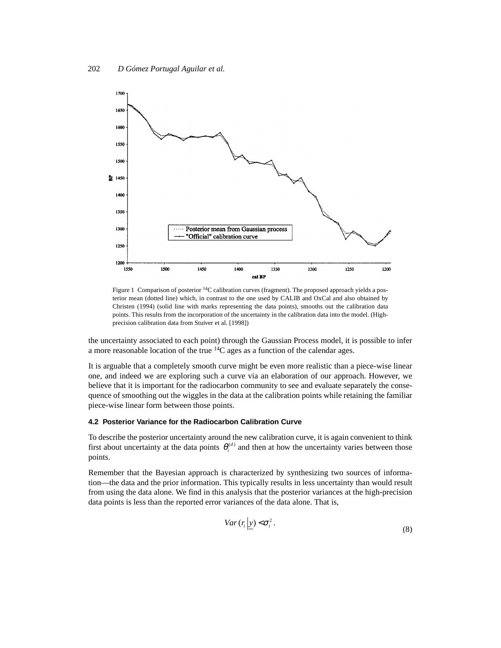



the uncertainty associated to each point) through the Gaussian Process model, it is possible to infer a more reasonable location of the true 14C ages as a function of the calendar ages.

It is arguable that a completely smooth curve might be even more realistic than a piece-wise linear one, and indeed we are exploring such a curve via an elaboration of our approach. However, we believe that it is important for the radiocarbon community to see and evaluate separately the consequence of smoothing out the wiggles in the data at the calibration points while retaining the familiar piece-wise linear form between those points.

#### **4.2 Posterior Variance for the Radiocarbon Calibration Curve**

To describe the posterior uncertainty around the new calibration curve, it is again convenient to think first about uncertainty at the data points  $\theta_i^{(d)}$  and then at how the uncertainty varies between those points.

Remember that the Bayesian approach is characterized by synthesizing two sources of information—the data and the prior information. This typically results in less uncertainty than would result from using the data alone. We find in this analysis that the posterior variances at the high-precision data points is less than the reported error variances of the data alone. That is,

$$
Var(r_i | y) < \sigma_i^2.
$$
\n(8)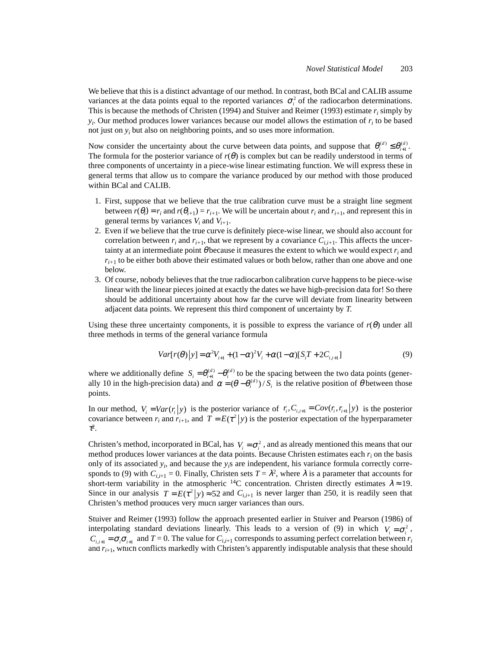We believe that this is a distinct advantage of our method. In contrast, both BCal and CALIB assume variances at the data points equal to the reported variances  $\sigma_i^2$  of the radiocarbon determinations. This is because the methods of Christen (1994) and Stuiver and Reimer (1993) estimate  $r_i$  simply by  $y_i$ . Our method produces lower variances because our model allows the estimation of  $r_i$  to be based not just on *yi* but also on neighboring points, and so uses more information.

Now consider the uncertainty about the curve between data points, and suppose that  $\theta_i^{(d)} \leq \theta_{i+1}^{(d)}$ . The formula for the posterior variance of  $r(\theta)$  is complex but can be readily understood in terms of three components of uncertainty in a piece-wise linear estimating function. We will express these in general terms that allow us to compare the variance produced by our method with those produced within BCal and CALIB.

- 1. First, suppose that we believe that the true calibration curve must be a straight line segment between  $r(\theta_i) = r_i$  and  $r(\theta_{i+1}) = r_{i+1}$ . We will be uncertain about  $r_i$  and  $r_{i+1}$ , and represent this in general terms by variances  $V_i$  and  $V_{i+1}$ .
- 2. Even if we believe that the true curve is definitely piece-wise linear, we should also account for correlation between  $r_i$  and  $r_{i+1}$ , that we represent by a covariance  $C_{i,i+1}$ . This affects the uncertainty at an intermediate point  $\theta$  because it measures the extent to which we would expect  $r_i$  and  $r_{i+1}$  to be either both above their estimated values or both below, rather than one above and one below.
- 3. Of course, nobody believes that the true radiocarbon calibration curve happens to be piece-wise linear with the linear pieces joined at exactly the dates we have high-precision data for! So there should be additional uncertainty about how far the curve will deviate from linearity between adjacent data points. We represent this third component of uncertainty by *T*.

Using these three uncertainty components, it is possible to express the variance of  $r(\theta)$  under all three methods in terms of the general variance formula

$$
Var[r(\theta)|y] = \alpha^2 V_{i+1} + (1-\alpha)^2 V_i + \alpha (1-\alpha) [S_i T + 2C_{i,i+1}]
$$
\n(9)

where we additionally define  $S_i = \theta_{i+1}^{(d)} - \theta_i^{(d)}$  to be the spacing between the two data points (generwhere we additionally define  $S_i = \theta_{i+1}^{(d)} - \theta_i^{(d)}$  to be the spacing between the two data points (generally 10 in the high-precision data) and  $\alpha = (\theta - \theta_i^{(d)})/S_i$  is the relative position of  $\theta$  between those points.

In our method,  $V_i = Var(r_i|y)$  is the posterior variance of  $r_i$ ,  $C_{i,i+1} = Cov(r_i, r_{i+1}|y)$  is the posterior covariance between  $r_i$  and  $r_{i+1}$ , and  $T = E(\tau^2|y)$  is the posterior expectation of the hyperparameter covariance between  $r_i$  and  $r_{i+1}$ , and  $T = E(\tau^2|y)$  is the posterior expectation of the hyperparameter  $\tau^2$ .

Christen's method, incorporated in BCal, has  $V_i = \sigma_i^2$ , and as already mentioned this means that our method produces lower variances at the data points. Because Christen estimates each  $r_i$  on the basis only of its associated *yi* , and because the *yi*s are independent, his variance formula correctly corresponds to (9) with  $C_{i,i+1} = 0$ . Finally, Christen sets  $T = \lambda^2$ , where  $\lambda$  is a parameter that accounts for short-term variability in the atmospheric <sup>14</sup>C concentration. Christen directly estimates  $\lambda \approx 19$ . Since in our analysis  $T = E(\tau^2 | y) \approx 52$  and  $C_{i,i+1}$  is never larger than 250, it is readily seen that Christen's method produces very much larger variances than ours.

Stuiver and Reimer (1993) follow the approach presented earlier in Stuiver and Pearson (1986) of interpolating standard deviations linearly. This leads to a version of (9) in which  $V_i = \sigma_i^2$ ,  $C_{i,i+1} = \sigma_i \sigma_{i+1}$  and  $T = 0$ . The value for  $C_{i,i+1}$  corresponds to assuming perfect correlation between  $r_i$ and *ri*+1, which conflicts markedly with Christen's apparently indisputable analysis that these should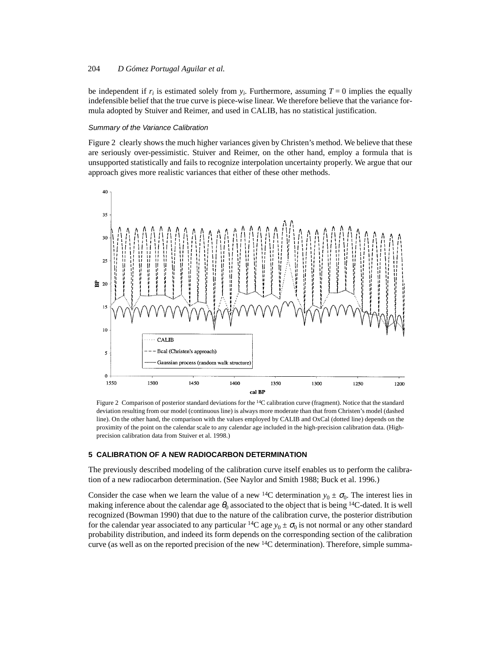be independent if  $r_i$  is estimated solely from  $y_i$ . Furthermore, assuming  $T = 0$  implies the equally indefensible belief that the true curve is piece-wise linear. We therefore believe that the variance formula adopted by Stuiver and Reimer, and used in CALIB, has no statistical justification.

#### Summary of the Variance Calibration

Figure 2 clearly shows the much higher variances given by Christen's method. We believe that these are seriously over-pessimistic. Stuiver and Reimer, on the other hand, employ a formula that is unsupported statistically and fails to recognize interpolation uncertainty properly. We argue that our approach gives more realistic variances that either of these other methods.



Figure 2 Comparison of posterior standard deviations for the 14C calibration curve (fragment). Notice that the standard deviation resulting from our model (continuous line) is always more moderate than that from Christen's model (dashed line). On the other hand, the comparison with the values employed by CALIB and OxCal (dotted line) depends on the proximity of the point on the calendar scale to any calendar age included in the high-precision calibration data. (Highprecision calibration data from Stuiver et al. 1998.)

#### **5 CALIBRATION OF A NEW RADIOCARBON DETERMINATION**

The previously described modeling of the calibration curve itself enables us to perform the calibration of a new radiocarbon determination. (See Naylor and Smith 1988; Buck et al. 1996.)

Consider the case when we learn the value of a new <sup>14</sup>C determination  $y_0 \pm \sigma_0$ . The interest lies in making inference about the calendar age  $\theta_0$  associated to the object that is being <sup>14</sup>C-dated. It is well recognized (Bowman 1990) that due to the nature of the calibration curve, the posterior distribution for the calendar year associated to any particular <sup>14</sup>C age  $y_0 \pm \sigma_0$  is not normal or any other standard probability distribution, and indeed its form depends on the corresponding section of the calibration curve (as well as on the reported precision of the new <sup>14</sup>C determination). Therefore, simple summa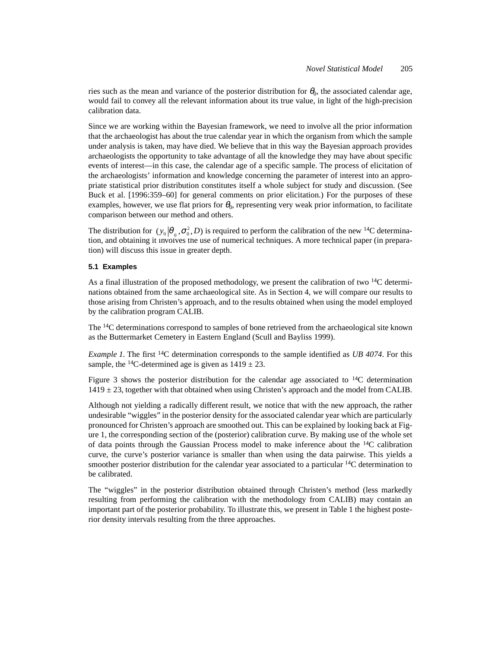ries such as the mean and variance of the posterior distribution for  $\theta_0$ , the associated calendar age, would fail to convey all the relevant information about its true value, in light of the high-precision calibration data.

Since we are working within the Bayesian framework, we need to involve all the prior information that the archaeologist has about the true calendar year in which the organism from which the sample under analysis is taken, may have died. We believe that in this way the Bayesian approach provides archaeologists the opportunity to take advantage of all the knowledge they may have about specific events of interest—in this case, the calendar age of a specific sample. The process of elicitation of the archaeologists' information and knowledge concerning the parameter of interest into an appropriate statistical prior distribution constitutes itself a whole subject for study and discussion. (See Buck et al. [1996:359–60] for general comments on prior elicitation.) For the purposes of these examples, however, we use flat priors for  $\theta_0$ , representing very weak prior information, to facilitate comparison between our method and others.

The distribution for  $(y_0 | \theta_0, \sigma_0^2, D)$  is required to perform the calibration of the new <sup>14</sup>C determination, and obtaining it involves the use of numerical techniques. A more technical paper (in preparation) will discuss this issue in greater depth.

## **5.1 Examples**

As a final illustration of the proposed methodology, we present the calibration of two  $14C$  determinations obtained from the same archaeological site. As in Section 4, we will compare our results to those arising from Christen's approach, and to the results obtained when using the model employed by the calibration program CALIB.

The <sup>14</sup>C determinations correspond to samples of bone retrieved from the archaeological site known as the Buttermarket Cemetery in Eastern England (Scull and Bayliss 1999).

*Example 1.* The first 14C determination corresponds to the sample identified as *UB 4074*. For this sample, the <sup>14</sup>C-determined age is given as  $1419 \pm 23$ .

Figure 3 shows the posterior distribution for the calendar age associated to  $^{14}C$  determination  $1419 \pm 23$ , together with that obtained when using Christen's approach and the model from CALIB.

Although not yielding a radically different result, we notice that with the new approach, the rather undesirable "wiggles" in the posterior density for the associated calendar year which are particularly pronounced for Christen's approach are smoothed out. This can be explained by looking back at Figure 1, the corresponding section of the (posterior) calibration curve. By making use of the whole set of data points through the Gaussian Process model to make inference about the  $^{14}C$  calibration curve, the curve's posterior variance is smaller than when using the data pairwise. This yields a smoother posterior distribution for the calendar year associated to a particular  $14C$  determination to be calibrated.

The "wiggles" in the posterior distribution obtained through Christen's method (less markedly resulting from performing the calibration with the methodology from CALIB) may contain an important part of the posterior probability. To illustrate this, we present in Table 1 the highest posterior density intervals resulting from the three approaches.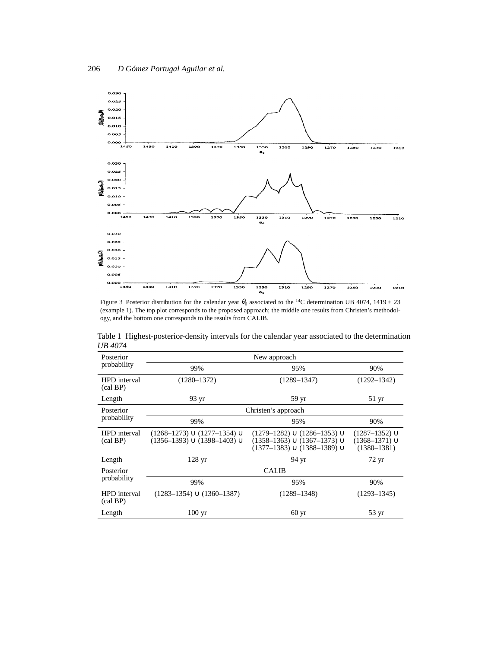

Figure 3 Posterior distribution for the calendar year  $\theta_0$  associated to the <sup>14</sup>C determination UB 4074, 1419  $\pm$  23 (example 1). The top plot corresponds to the proposed approach; the middle one results from Christen's methodology, and the bottom one corresponds to the results from CALIB.

|         | Table 1 Highest-posterior-density intervals for the calendar year associated to the determination |  |  |
|---------|---------------------------------------------------------------------------------------------------|--|--|
| UB 4074 |                                                                                                   |  |  |

| Posterior                         | New approach                                                               |                                                                                                                   |                                                                 |  |  |
|-----------------------------------|----------------------------------------------------------------------------|-------------------------------------------------------------------------------------------------------------------|-----------------------------------------------------------------|--|--|
| probability                       | 99%                                                                        | 95%                                                                                                               | 90%                                                             |  |  |
| HPD interval<br>$\text{(cal BP)}$ | $(1280 - 1372)$                                                            | $(1289 - 1347)$                                                                                                   | $(1292 - 1342)$                                                 |  |  |
| Length                            | 93 yr                                                                      | 59 yr                                                                                                             | $51 \text{ yr}$                                                 |  |  |
| Posterior                         | Christen's approach                                                        |                                                                                                                   |                                                                 |  |  |
| probability                       | 99%                                                                        | 95%                                                                                                               | 90%                                                             |  |  |
| HPD interval<br>(cal BP)          | $(1268-1273) \cup (1277-1354) \cup$<br>$(1356-1393) \cup (1398-1403) \cup$ | $(1279-1282) \cup (1286-1353) \cup$<br>$(1358-1363) \cup (1367-1373) \cup$<br>$(1377-1383) \cup (1388-1389) \cup$ | $(1287 - 1352) \cup$<br>$(1368 - 1371) \cup$<br>$(1380 - 1381)$ |  |  |
| Length                            | 128 <sub>yr</sub>                                                          | 94 yr                                                                                                             | $72 \text{ yr}$                                                 |  |  |
| Posterior                         | <b>CALIB</b>                                                               |                                                                                                                   |                                                                 |  |  |
| probability                       | 99%                                                                        | 95%                                                                                                               | 90%                                                             |  |  |
| HPD interval<br>(cal BP)          | $(1283-1354) \cup (1360-1387)$                                             | $(1289 - 1348)$                                                                                                   | $(1293 - 1345)$                                                 |  |  |
| Length                            | $100 \text{ yr}$                                                           | 60 <sub>yr</sub>                                                                                                  | $53 \text{ yr}$                                                 |  |  |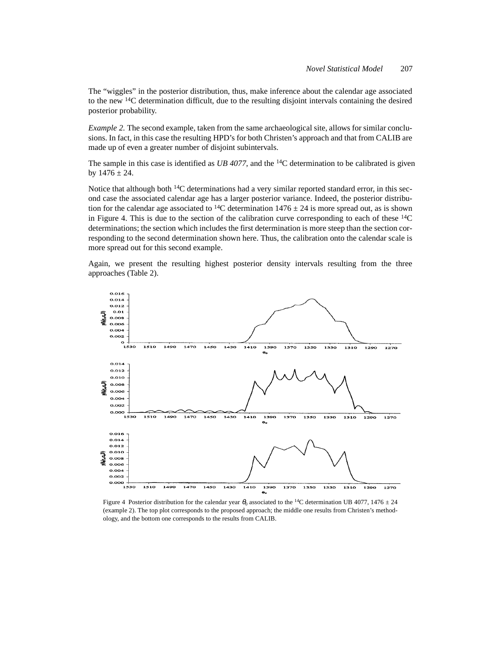The "wiggles" in the posterior distribution, thus, make inference about the calendar age associated to the new 14C determination difficult, due to the resulting disjoint intervals containing the desired posterior probability.

*Example 2.* The second example, taken from the same archaeological site, allows for similar conclusions. In fact, in this case the resulting HPD's for both Christen's approach and that from CALIB are made up of even a greater number of disjoint subintervals.

The sample in this case is identified as *UB 4077*, and the 14C determination to be calibrated is given by  $1476 \pm 24$ .

Notice that although both <sup>14</sup>C determinations had a very similar reported standard error, in this second case the associated calendar age has a larger posterior variance. Indeed, the posterior distribution for the calendar age associated to <sup>14</sup>C determination  $1476 \pm 24$  is more spread out, as is shown in Figure 4. This is due to the section of the calibration curve corresponding to each of these  ${}^{14}C$ determinations; the section which includes the first determination is more steep than the section corresponding to the second determination shown here. Thus, the calibration onto the calendar scale is more spread out for this second example.

Again, we present the resulting highest posterior density intervals resulting from the three approaches (Table 2).



Figure 4 Posterior distribution for the calendar year  $\theta_0$  associated to the <sup>14</sup>C determination UB 4077, 1476  $\pm$  24 (example 2). The top plot corresponds to the proposed approach; the middle one results from Christen's methodology, and the bottom one corresponds to the results from CALIB.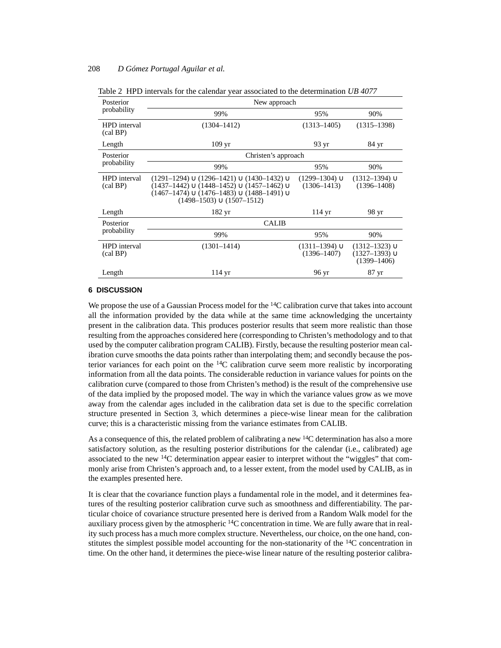| Posterior                         | New approach                                                                                                                                                                                               |                                           |                                                                   |  |  |
|-----------------------------------|------------------------------------------------------------------------------------------------------------------------------------------------------------------------------------------------------------|-------------------------------------------|-------------------------------------------------------------------|--|--|
| probability                       | 99%                                                                                                                                                                                                        | 95%                                       | 90%                                                               |  |  |
| HPD interval<br>$\text{(cal BP)}$ | $(1304 - 1412)$                                                                                                                                                                                            | $(1313 - 1405)$                           | $(1315 - 1398)$                                                   |  |  |
| Length                            | $109 \,\mathrm{yr}$                                                                                                                                                                                        | 93 yr                                     | 84 yr                                                             |  |  |
| Posterior                         | Christen's approach                                                                                                                                                                                        |                                           |                                                                   |  |  |
| probability                       | 99%                                                                                                                                                                                                        | 95%                                       | 90%                                                               |  |  |
| HPD interval<br>$\text{(cal BP)}$ | $(1291-1294) \cup (1296-1421) \cup (1430-1432) \cup$<br>$(1437-1442) \cup (1448-1452) \cup (1457-1462) \cup$<br>$(1467-1474) \cup (1476-1483) \cup (1488-1491) \cup$<br>$(1498 - 1503) \cup (1507 - 1512)$ | $(1299 - 1304) \cup$<br>$(1306 - 1413)$   | $(1312 - 1394) \cup$<br>$(1396 - 1408)$                           |  |  |
| Length                            | $182 \text{ yr}$                                                                                                                                                                                           | $114 \text{ yr}$                          | 98 yr                                                             |  |  |
| Posterior                         | <b>CALIB</b>                                                                                                                                                                                               |                                           |                                                                   |  |  |
| probability                       | 99%                                                                                                                                                                                                        | 95%                                       | 90%                                                               |  |  |
| HPD interval<br>$\text{(cal BP)}$ | $(1301 - 1414)$                                                                                                                                                                                            | $(1311 - 1394)$ $\cup$<br>$(1396 - 1407)$ | $(1312 - 1323)$ $\cup$<br>$(1327 - 1393) \cup$<br>$(1399 - 1406)$ |  |  |
| Length                            | $114 \text{ yr}$                                                                                                                                                                                           | 96 yr                                     | 87 yr                                                             |  |  |

Table 2 HPD intervals for the calendar year associated to the determination *UB 4077*

#### **6 DISCUSSION**

We propose the use of a Gaussian Process model for the <sup>14</sup>C calibration curve that takes into account all the information provided by the data while at the same time acknowledging the uncertainty present in the calibration data. This produces posterior results that seem more realistic than those resulting from the approaches considered here (corresponding to Christen's methodology and to that used by the computer calibration program CALIB). Firstly, because the resulting posterior mean calibration curve smooths the data points rather than interpolating them; and secondly because the posterior variances for each point on the  $^{14}C$  calibration curve seem more realistic by incorporating information from all the data points. The considerable reduction in variance values for points on the calibration curve (compared to those from Christen's method) is the result of the comprehensive use of the data implied by the proposed model. The way in which the variance values grow as we move away from the calendar ages included in the calibration data set is due to the specific correlation structure presented in Section 3, which determines a piece-wise linear mean for the calibration curve; this is a characteristic missing from the variance estimates from CALIB.

As a consequence of this, the related problem of calibrating a new <sup>14</sup>C determination has also a more satisfactory solution, as the resulting posterior distributions for the calendar (i.e., calibrated) age associated to the new <sup>14</sup>C determination appear easier to interpret without the "wiggles" that commonly arise from Christen's approach and, to a lesser extent, from the model used by CALIB, as in the examples presented here.

It is clear that the covariance function plays a fundamental role in the model, and it determines features of the resulting posterior calibration curve such as smoothness and differentiability. The particular choice of covariance structure presented here is derived from a Random Walk model for the auxiliary process given by the atmospheric 14C concentration in time. We are fully aware that in reality such process has a much more complex structure. Nevertheless, our choice, on the one hand, constitutes the simplest possible model accounting for the non-stationarity of the 14C concentration in time. On the other hand, it determines the piece-wise linear nature of the resulting posterior calibra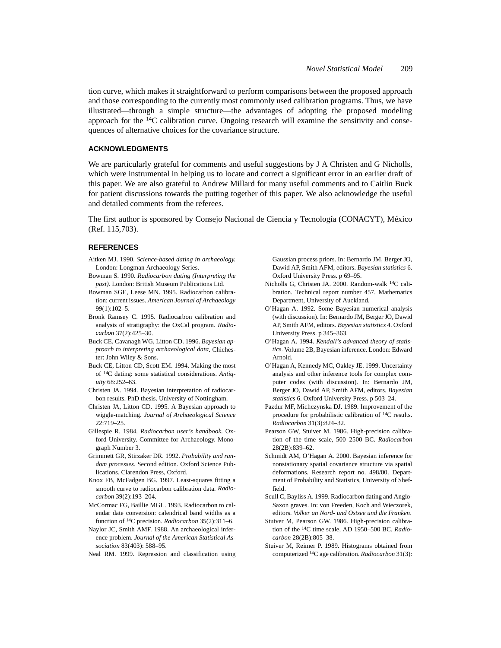tion curve, which makes it straightforward to perform comparisons between the proposed approach and those corresponding to the currently most commonly used calibration programs. Thus, we have illustrated—through a simple structure—the advantages of adopting the proposed modeling approach for the  $14C$  calibration curve. Ongoing research will examine the sensitivity and consequences of alternative choices for the covariance structure.

### **ACKNOWLEDGMENTS**

We are particularly grateful for comments and useful suggestions by J A Christen and G Nicholls, which were instrumental in helping us to locate and correct a significant error in an earlier draft of this paper. We are also grateful to Andrew Millard for many useful comments and to Caitlin Buck for patient discussions towards the putting together of this paper. We also acknowledge the useful and detailed comments from the referees.

The first author is sponsored by Consejo Nacional de Ciencia y Tecnología (CONACYT), México (Ref. 115,703).

# **REFERENCES**

- Aitken MJ. 1990. *Science-based dating in archaeology.* London: Longman Archaeology Series.
- Bowman S. 1990. *Radiocarbon dating (Interpreting the past)*. London: British Museum Publications Ltd.
- Bowman SGE, Leese MN. 1995. Radiocarbon calibration: current issues. *American Journal of Archaeology* 99(1):102–5.
- Bronk Ramsey C. 1995. Radiocarbon calibration and analysis of stratigraphy: the OxCal program. *Radiocarbon* 37(2):425–30.
- Buck CE, Cavanagh WG, Litton CD. 1996. *Bayesian approach to interpreting archaeological data*. Chichester: John Wiley & Sons.
- Buck CE, Litton CD, Scott EM. 1994. Making the most of 14C dating: some statistical considerations. *Antiquity* 68:252–63.
- Christen JA. 1994. Bayesian interpretation of radiocarbon results. PhD thesis. University of Nottingham.
- Christen JA, Litton CD. 1995. A Bayesian approach to wiggle-matching. *Journal of Archaeological Science* 22:719–25.
- Gillespie R. 1984. *Radiocarbon user's handbook*. Oxford University. Committee for Archaeology. Monograph Number 3.
- Grimmett GR, Stirzaker DR. 1992. *Probability and random processes*. Second edition. Oxford Science Publications. Clarendon Press, Oxford.
- Knox FB, McFadgen BG. 1997. Least-squares fitting a smooth curve to radiocarbon calibration data. *Radiocarbon* 39(2):193–204.
- McCormac FG, Baillie MGL. 1993. Radiocarbon to calendar date conversion: calendrical band widths as a function of 14C precision. *Radiocarbon* 35(2):311–6.
- Naylor JC, Smith AMF. 1988. An archaeological inference problem. *Journal of the American Statistical Association* 83(403): 588–95.
- Neal RM. 1999. Regression and classification using

Gaussian process priors. In: Bernardo JM, Berger JO, Dawid AP, Smith AFM, editors. *Bayesian statistics* 6. Oxford University Press. p 69–95.

- Nicholls G, Christen JA. 2000. Random-walk 14C calibration. Technical report number 457. Mathematics Department, University of Auckland.
- O'Hagan A. 1992. Some Bayesian numerical analysis (with discussion). In: Bernardo JM, Berger JO, Dawid AP, Smith AFM, editors. *Bayesian statistics* 4. Oxford University Press. p 345–363.
- O'Hagan A. 1994. *Kendall's advanced theory of statistics.* Volume 2B, Bayesian inference. London: Edward Arnold.
- O'Hagan A, Kennedy MC, Oakley JE. 1999. Uncertainty analysis and other inference tools for complex computer codes (with discussion). In: Bernardo JM, Berger JO, Dawid AP, Smith AFM, editors. *Bayesian statistics* 6. Oxford University Press. p 503–24.
- Pazdur MF, Michczynska DJ. 1989. Improvement of the procedure for probabilistic calibration of 14C results. *Radiocarbon* 31(3):824–32.
- Pearson GW, Stuiver M. 1986. High-precision calibration of the time scale, 500–2500 BC. *Radiocarbon* 28(2B):839–62.
- Schmidt AM, O'Hagan A. 2000. Bayesian inference for nonstationary spatial covariance structure via spatial deformations. Research report no. 498/00. Department of Probability and Statistics, University of Sheffield.
- Scull C, Bayliss A. 1999. Radiocarbon dating and Anglo-Saxon graves. In: von Freeden, Koch and Wieczorek, editors. *Volker an Nord- und Ostsee und die Franken*.
- Stuiver M, Pearson GW. 1986. High-precision calibration of the 14C time scale, AD 1950–500 BC. *Radiocarbon* 28(2B):805–38.
- Stuiver M, Reimer P. 1989. Histograms obtained from computerized 14C age calibration. *Radiocarbon* 31(3):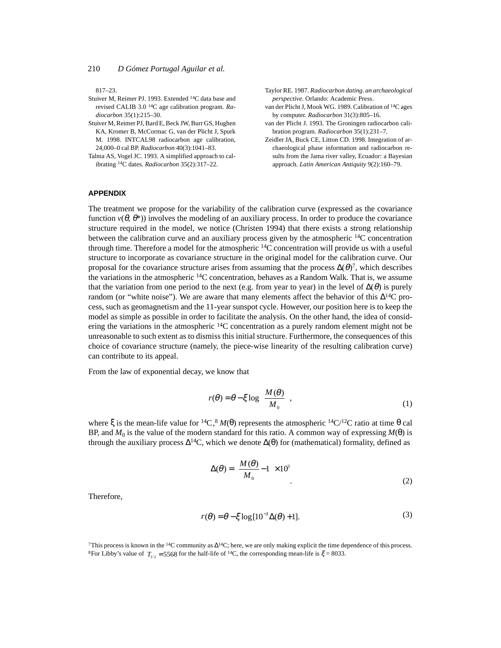817–23.

- Stuiver M, Reimer PJ. 1993. Extended 14C data base and revised CALIB 3.0 14C age calibration program. *Radiocarbon* 35(1):215–30.
- Stuiver M, Reimer PJ, Bard E, Beck JW, Burr GS, Hughen KA, Kromer B, McCormac G, van der Plicht J, Spurk M. 1998. INTCAL98 radiocarbon age calibration, 24,000–0 cal BP. *Radiocarbon* 40(3):1041–83.
- Talma AS, Vogel JC. 1993. A simplified approach to calibrating 14C dates. *Radiocarbon* 35(2):317–22.
- Taylor RE. 1987. *Radiocarbon dating*. *an archaeological perspective*. Orlando: Academic Press.
- van der Plicht J, Mook WG. 1989. Calibration of 14C ages by computer. *Radiocarbon* 31(3):805–16.
- van der Plicht J. 1993. The Groningen radiocarbon calibration program. *Radiocarbon* 35(1):231–7.
- Zeidler JA, Buck CE, Litton CD. 1998. Integration of archaeological phase information and radiocarbon results from the Jama river valley, Ecuador: a Bayesian approach. *Latin American Antiquity* 9(2):160–79.

# **APPENDIX**

The treatment we propose for the variability of the calibration curve (expressed as the covariance function  $v(\theta, \theta^*)$ ) involves the modeling of an auxiliary process. In order to produce the covariance structure required in the model, we notice (Christen 1994) that there exists a strong relationship between the calibration curve and an auxiliary process given by the atmospheric  $14C$  concentration through time. Therefore a model for the atmospheric  $^{14}C$  concentration will provide us with a useful structure to incorporate as covariance structure in the original model for the calibration curve. Our proposal for the covariance structure arises from assuming that the process  $\Delta(\theta)^7$ , which describes the variations in the atmospheric  $14C$  concentration, behaves as a Random Walk. That is, we assume that the variation from one period to the next (e.g. from year to year) in the level of  $\Delta(\theta)$  is purely random (or "white noise"). We are aware that many elements affect the behavior of this  $\Delta^{14}C$  process, such as geomagnetism and the 11-year sunspot cycle. However, our position here is to keep the model as simple as possible in order to facilitate the analysis. On the other hand, the idea of considering the variations in the atmospheric  $14C$  concentration as a purely random element might not be unreasonable to such extent as to dismiss this initial structure. Furthermore, the consequences of this choice of covariance structure (namely, the piece-wise linearity of the resulting calibration curve) can contribute to its appeal.

From the law of exponential decay, we know that

$$
r(\theta) = \theta - \xi \log \left( \frac{M(\theta)}{M_0} \right),\tag{1}
$$

where ξ is the mean-life value for <sup>14</sup>C,<sup>8</sup>  $M(\theta)$  represents the atmospheric <sup>14</sup>C/<sup>12</sup>C ratio at time θ cal BP, and  $M_0$  is the value of the modern standard for this ratio. A common way of expressing  $M(\theta)$  is through the auxiliary process  $\Delta^{14}C$ , which we denote  $\Delta(\theta)$  for (mathematical) formality, defined as

$$
\Delta(\theta) = \left(\frac{M(\theta)}{M_0} - 1\right) \times 10^3
$$
\n(2)

Therefore,

$$
r(\theta) = \theta - \xi \log[10^{-3}\Delta(\theta) + 1].
$$
\n(3)

7This process is known in the  ${}^{14}C$  community as  $\Delta {}^{14}C$ ; here, we are only making explicit the time dependence of this process. <sup>8</sup>For Libby's value of  $T_{1/2} = 5568$  for the half-life of <sup>14</sup>C, the corresponding mean-life is  $\xi = 8033$ .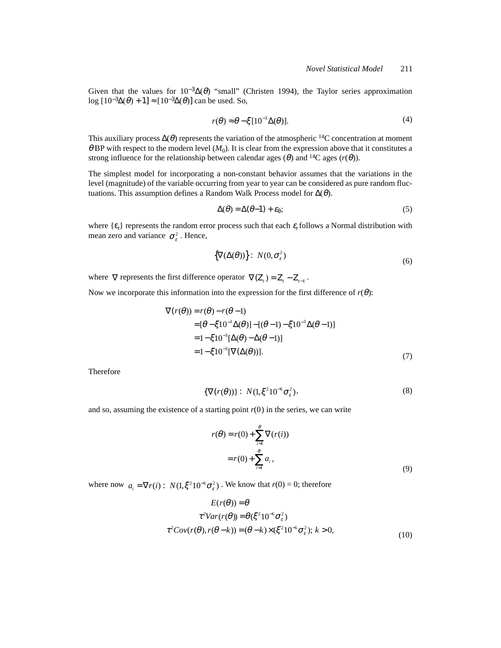Given that the values for  $10^{-3}\Delta(\theta)$  "small" (Christen 1994), the Taylor series approximation log  $[10^{-3}\Delta(\theta) + 1] \approx [10^{-3}\Delta(\theta)]$  can be used. So,

$$
r(\theta) \approx \theta - \xi [10^{-3} \Delta(\theta)].
$$
 (4)

This auxiliary process  $\Delta(\theta)$  represents the variation of the atmospheric <sup>14</sup>C concentration at moment  $\theta$  BP with respect to the modern level  $(M_0)$ . It is clear from the expression above that it constitutes a strong influence for the relationship between calendar ages ( $\theta$ ) and <sup>14</sup>C ages ( $r(\theta)$ ).

The simplest model for incorporating a non-constant behavior assumes that the variations in the level (magnitude) of the variable occurring from year to year can be considered as pure random fluctuations. This assumption defines a Random Walk Process model for  $\Delta(\theta)$ .

$$
\Delta(\theta) = \Delta(\theta - 1) + \varepsilon_{\theta};\tag{5}
$$

where  $\{\varepsilon_t\}$  represents the random error process such that each  $\varepsilon_t$  follows a Normal distribution with mean zero and variance  $\sigma_{\varepsilon}^2$ . Hence,

$$
\{\nabla(\Delta(\theta))\} \colon N(0, \sigma_{\varepsilon}^2) \tag{6}
$$

where  $\nabla$  represents the first difference operator  $\nabla$ (Z<sub>t</sub>) = Z<sub>t</sub> - Z<sub>t−1</sub>.

Now we incorporate this information into the expression for the first difference of  $r(\theta)$ :

$$
\nabla(r(\theta)) = r(\theta) - r(\theta - 1)
$$
  
\n
$$
= [\theta - \xi 10^{-3} \Delta(\theta)] - [(\theta - 1) - \xi 10^{-3} \Delta(\theta - 1)]
$$
  
\n
$$
= 1 - \xi 10^{-3} [\Delta(\theta) - \Delta(\theta - 1)]
$$
  
\n
$$
= 1 - \xi 10^{-3} [\nabla(\Delta(\theta))].
$$
\n(7)

Therefore

$$
\{\nabla(r(\theta))\} : N(1,\xi^2 10^{-6} \sigma_\varepsilon^2), \tag{8}
$$

and so, assuming the existence of a starting point  $r(0)$  in the series, we can write

$$
r(\theta) = r(0) + \sum_{i=1}^{\theta} \nabla(r(i))
$$
  
= 
$$
r(0) + \sum_{i=1}^{\theta} a_i,
$$
 (9)

where now  $a_i = \nabla r(i)$ :  $N(1, \xi^2 10^{-6} \sigma_{\epsilon}^2)$ . We know that  $r(0) = 0$ ; therefore

$$
E(r(\theta)) = \theta
$$
  
\n
$$
\tau^2 Var(r(\theta)) = \theta(\xi^2 10^{-6} \sigma_\varepsilon^2)
$$
  
\n
$$
\tau^2 Cov(r(\theta), r(\theta - k)) = (\theta - k) \times (\xi^2 10^{-6} \sigma_\varepsilon^2); k > 0,
$$
\n(10)